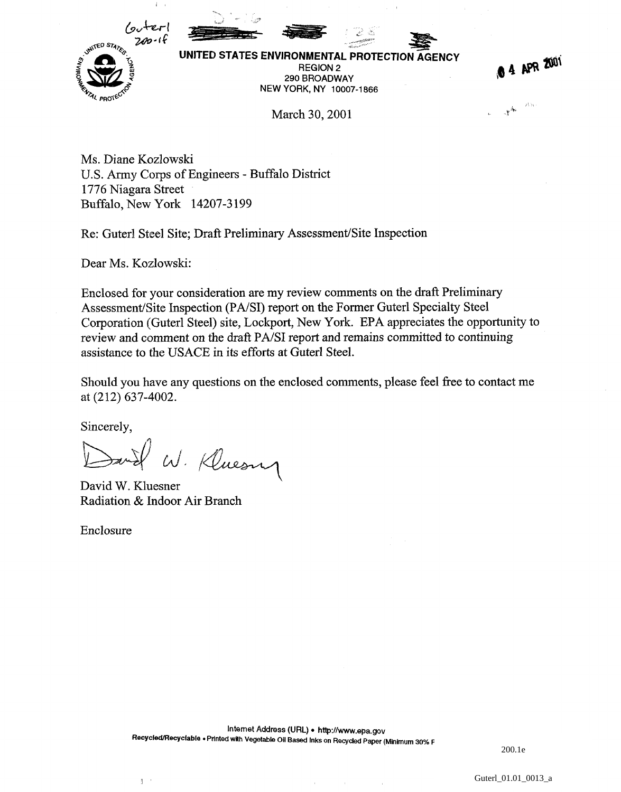

UNITED STATES ENVIRONMENTAL PROTECTION **AGENCY v** UNITED STATES ENVIRONMENTAL PROTECTION AGENCY IN A SECOND AGENCY IN A SECOND AGENCY. 290 BROADWAY NEW YORK, NY 10007-1866

0 4 APR 2001

0.135  $\mathbf{v}^{\mathbf{A}_n}$ 

March 30, 2001

Ms. Diane Kozlowski U.S. Army Corps of Engineers - Buffalo District 1776 Niagara Street Buffalo, New York 14207-3199

Re: Guterl Steel Site; Draft Preliminary Assessment/Site Inspection

Dear Ms. Kozlowski:

Enclosed for your consideration are my review comments on the draft Preliminary Assessment/Site Inspection (PA/SI) report on the Former Guterl Specialty Steel Corporation (Guterl Steel) site, Lockport, New York. EPA appreciates the opportunity to review and comment on the draft PA/SI report and remains committed to continuing assistance to the USACE in its efforts at Guterl Steel.

Should you have any questions on the enclosed comments, please feel free to contact me at (212) 637-4002.

Sincerely,

surel W. Kluesny

David W. Kluesner Radiation & Indoor Air Branch

 $\mathbb{I}$  .

Enclosure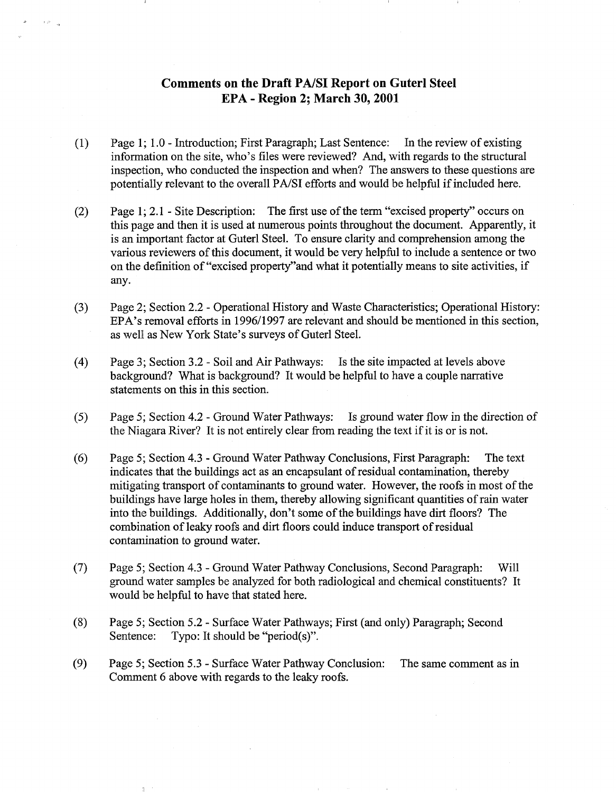## Comments on the Draft PA/SI Report on Guterl Steel EPA - Region 2; March 30,2001

 $\rightarrow \rho_{\rm m}$ 

- (1) Page 1; 1.0 Introduction; First Paragraph; Last Sentence: In the review of existing information on the site, who's files were reviewed? And, with regards to the structural inspection, who conducted the inspection and when? The answers to these questions are potentially relevant to the overall PA/SI efforts and would be helpful if included here.
- (2) Page 1; 2.1 Site Description: The first use of the term "excised property" occurs on this page and then it is used at numerous points throughout the document. Apparently, it is an important factor at Guterl Steel. To ensure clarity and comprehension among the various reviewers of this document, it would be very helpful to include a sentence or two on the definition of "excised property"and what it potentially means to site activities, if any.
- (3) Page 2; Section 2.2 Operational History and Waste Characteristics; Operational History: EPA's removal efforts in 1996/1997 are relevant and should be mentioned in this section, as well as New York State's surveys of Guterl Steel.
- (4) Page 3; Section 3.2 Soil and Air Pathways: Is the site impacted at levels above background? What is background? It would be helpful to have a couple narrative statements on this in this section.
- (5) Page 5; Section 4.2 Ground Water Pathways: Is ground water flow in the direction of the Niagara River? It is not entirely clear from reading the text if it is or is not.
- (6) Page 5; Section 4.3 Ground Water Pathway Conclusions, First Paragraph: The text indicates that the buildings act as an encapsulant of residual contamination, thereby mitigating transport of contaminants to ground water. However, the roofs in most of the buildings have large holes in them, thereby allowing significant quantities of rain water into the buildings. Additionally, don't some of the buildings have dirt floors? The combination of leaky roofs and dirt floors could induce transport of residual contamination to ground water.
- (7) Page 5; Section 4.3 Ground Water Pathway Conclusions, Second Paragraph: Will ground water samples be analyzed for both radiological and chemical constituents? It would be helpful to have that stated here.
- (8) Page 5; Section 5.2 Surface Water Pathways; First (and only) Paragraph; Second Sentence: Typo: It should be "period(s)".
- (9) Page 5; Section 5.3 Surface Water Pathway Conclusion: The same comment as in Comment 6 above with regards to the leaky roofs.